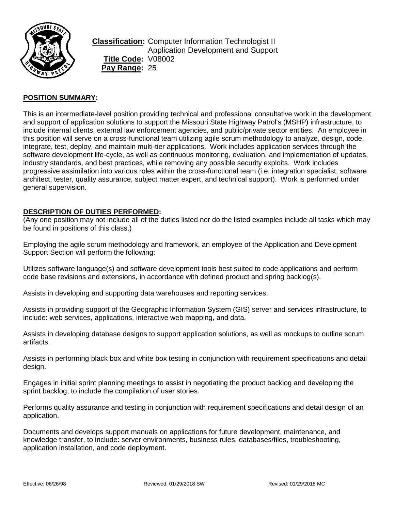

**Classification:** Computer Information Technologist II Application Development and Support **Title Code:** V08002 **Pay Range:** 25

### **POSITION SUMMARY:**

This is an intermediate-level position providing technical and professional consultative work in the development and support of application solutions to support the Missouri State Highway Patrol's (MSHP) infrastructure, to include internal clients, external law enforcement agencies, and public/private sector entities. An employee in this position will serve on a cross-functional team utilizing agile scrum methodology to analyze, design, code, integrate, test, deploy, and maintain multi-tier applications. Work includes application services through the software development life-cycle, as well as continuous monitoring, evaluation, and implementation of updates, industry standards, and best practices, while removing any possible security exploits. Work includes progressive assimilation into various roles within the cross-functional team (i.e. integration specialist, software architect, tester, quality assurance, subject matter expert, and technical support). Work is performed under general supervision.

#### **DESCRIPTION OF DUTIES PERFORMED:**

(Any one position may not include all of the duties listed nor do the listed examples include all tasks which may be found in positions of this class.)

Employing the agile scrum methodology and framework, an employee of the Application and Development Support Section will perform the following:

Utilizes software language(s) and software development tools best suited to code applications and perform code base revisions and extensions, in accordance with defined product and spring backlog(s).

Assists in developing and supporting data warehouses and reporting services.

Assists in providing support of the Geographic Information System (GIS) server and services infrastructure, to include: web services, applications, interactive web mapping, and data.

Assists in developing database designs to support application solutions, as well as mockups to outline scrum artifacts.

Assists in performing black box and white box testing in conjunction with requirement specifications and detail design.

Engages in initial sprint planning meetings to assist in negotiating the product backlog and developing the sprint backlog, to include the compilation of user stories.

Performs quality assurance and testing in conjunction with requirement specifications and detail design of an application.

Documents and develops support manuals on applications for future development, maintenance, and knowledge transfer, to include: server environments, business rules, databases/files, troubleshooting, application installation, and code deployment.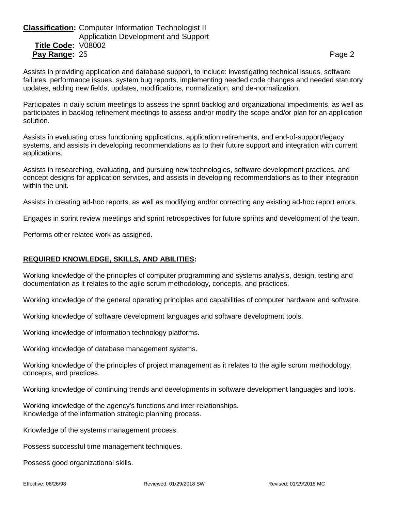# **Classification:** Computer Information Technologist II Application Development and Support **Title Code:** V08002 **Pay Range:** 25 Page 2

Assists in providing application and database support, to include: investigating technical issues, software failures, performance issues, system bug reports, implementing needed code changes and needed statutory updates, adding new fields, updates, modifications, normalization, and de-normalization.

Participates in daily scrum meetings to assess the sprint backlog and organizational impediments, as well as participates in backlog refinement meetings to assess and/or modify the scope and/or plan for an application solution.

Assists in evaluating cross functioning applications, application retirements, and end-of-support/legacy systems, and assists in developing recommendations as to their future support and integration with current applications.

Assists in researching, evaluating, and pursuing new technologies, software development practices, and concept designs for application services, and assists in developing recommendations as to their integration within the unit.

Assists in creating ad-hoc reports, as well as modifying and/or correcting any existing ad-hoc report errors.

Engages in sprint review meetings and sprint retrospectives for future sprints and development of the team.

Performs other related work as assigned.

### **REQUIRED KNOWLEDGE, SKILLS, AND ABILITIES:**

Working knowledge of the principles of computer programming and systems analysis, design, testing and documentation as it relates to the agile scrum methodology, concepts, and practices.

Working knowledge of the general operating principles and capabilities of computer hardware and software.

Working knowledge of software development languages and software development tools.

Working knowledge of information technology platforms.

Working knowledge of database management systems.

Working knowledge of the principles of project management as it relates to the agile scrum methodology, concepts, and practices.

Working knowledge of continuing trends and developments in software development languages and tools.

Working knowledge of the agency's functions and inter-relationships. Knowledge of the information strategic planning process.

Knowledge of the systems management process.

Possess successful time management techniques.

Possess good organizational skills.